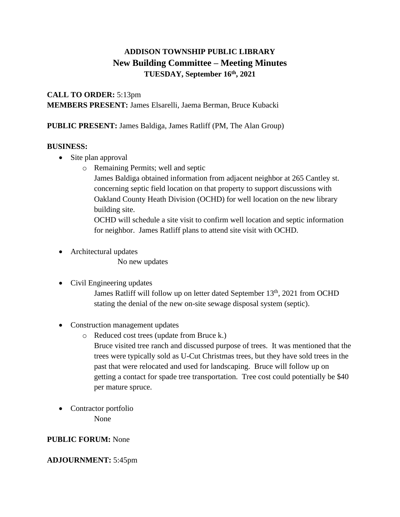# **ADDISON TOWNSHIP PUBLIC LIBRARY New Building Committee – Meeting Minutes TUESDAY, September 16 th , 2021**

**CALL TO ORDER:** 5:13pm **MEMBERS PRESENT:** James Elsarelli, Jaema Berman, Bruce Kubacki

**PUBLIC PRESENT:** James Baldiga, James Ratliff (PM, The Alan Group)

#### **BUSINESS:**

- Site plan approval
	- o Remaining Permits; well and septic

James Baldiga obtained information from adjacent neighbor at 265 Cantley st. concerning septic field location on that property to support discussions with Oakland County Heath Division (OCHD) for well location on the new library building site.

OCHD will schedule a site visit to confirm well location and septic information for neighbor. James Ratliff plans to attend site visit with OCHD.

• Architectural updates

No new updates

## • Civil Engineering updates

James Ratliff will follow up on letter dated September 13<sup>th</sup>, 2021 from OCHD stating the denial of the new on-site sewage disposal system (septic).

- Construction management updates
	- o Reduced cost trees (update from Bruce k.) Bruce visited tree ranch and discussed purpose of trees. It was mentioned that the trees were typically sold as U-Cut Christmas trees, but they have sold trees in the past that were relocated and used for landscaping. Bruce will follow up on getting a contact for spade tree transportation. Tree cost could potentially be \$40 per mature spruce.
- Contractor portfolio None

## **PUBLIC FORUM:** None

## **ADJOURNMENT:** 5:45pm